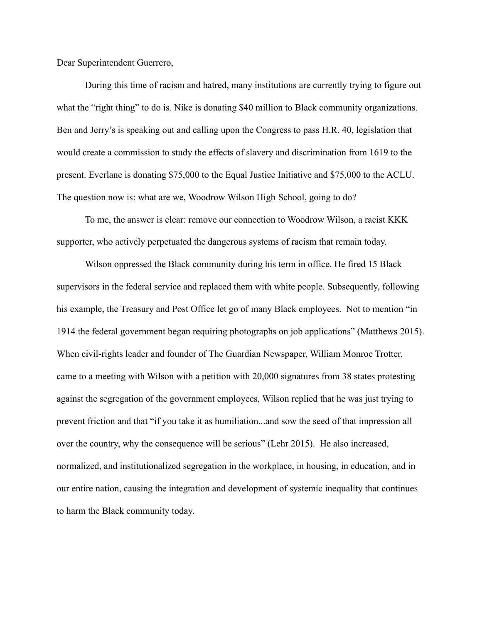Dear Superintendent Guerrero,

During this time of racism and hatred, many institutions are currently trying to figure out what the "right thing" to do is. Nike is donating \$40 million to Black community organizations. Ben and Jerry's is speaking out and calling upon the Congress to pass [H.R. 40,](https://www.benjerry.com/about-us/media-center/reparations-statement) legislation that would create a commission to study the effects of slavery and discrimination from 1619 to the present. Everlane is donating \$75,000 to the Equal Justice Initiative and \$75,000 to the ACLU. The question now is: what are we, Woodrow Wilson High School, going to do?

To me, the answer is clear: remove our connection to Woodrow Wilson, a racist KKK supporter, who actively perpetuated the dangerous systems of racism that remain today.

Wilson oppressed the Black community during his term in office. He fired 15 Black supervisors in the federal service and replaced them with white people. Subsequently, following his example, the Treasury and Post Office let go of many Black employees. Not to mention "in 1914 the federal government [began requiring photographs](https://books.google.com/books?id=S_L2iMqmwwsC&pg=PA44&lpg=PA44&dq=web+dubois+cages+segregation&source=bl&ots=xHpZMtpb4g&sig=qTjOsFpESm0dltCdEAYYgMQWd9I&hl=en&sa=X&ved=0CDkQ6AEwBWoVChMIhZf8lcKdyQIV0rIeCh0w9AAC#v=onepage&q=web%20dubois%20cages%20segregation&f=false) on job applications" (Matthews 2015). When civil-rights leader and founder of The Guardian Newspaper, William Monroe Trotter, came to a meeting with Wilson with a petition with 20,000 signatures from 38 states protesting against the segregation of the government employees, Wilson replied that he was just trying to prevent friction and that "if you take it as humiliation...and sow the seed of that impression all over the country, why the consequence will be serious" (Lehr 2015). He also increased, normalized, and institutionalized segregation in the workplace, in housing, in education, and in our entire nation, causing the integration and development of systemic inequality that continues to harm the Black community today.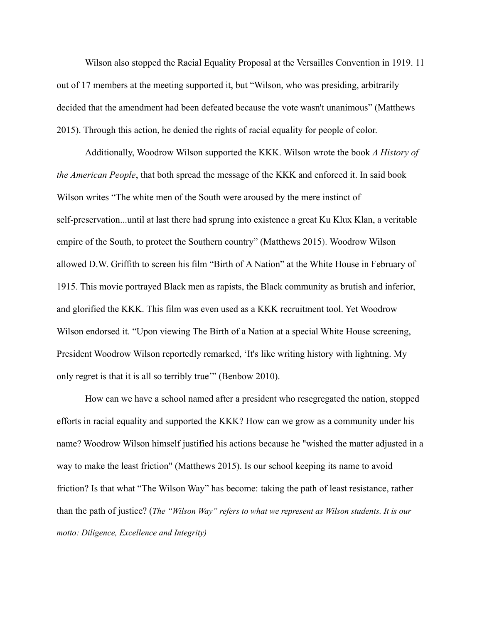Wilson also stopped the Racial Equality Proposal at the Versailles Convention in 1919. 11 out of 17 members at the meeting supported it, but "Wilson, who was presiding, [arbitrarily](https://books.google.com/books?id=_0m4XXJbHrsC&pg=PA120&lpg=PA120&dq=woodrow+wilson+unanimity+ruling&source=bl&ots=uor7TyzVE9&sig=1XxHtAGVbeZ6-d71d23JMpdHrLU&hl=en&sa=X&ved=0CCkQ6AEwAmoVChMI1ZGS-cmdyQIVC6ceCh2DVQEi#v=onepage&q=woodrow%20wilson%20unanimity%20ruling&f=false) [decided that the amendment had been defeated](https://books.google.com/books?id=_0m4XXJbHrsC&pg=PA120&lpg=PA120&dq=woodrow+wilson+unanimity+ruling&source=bl&ots=uor7TyzVE9&sig=1XxHtAGVbeZ6-d71d23JMpdHrLU&hl=en&sa=X&ved=0CCkQ6AEwAmoVChMI1ZGS-cmdyQIVC6ceCh2DVQEi#v=onepage&q=woodrow%20wilson%20unanimity%20ruling&f=false) because the vote wasn't unanimous" (Matthews 2015). Through this action, he denied the rights of racial equality for people of color.

Additionally, Woodrow Wilson supported the KKK. Wilson wrote the book *A History of the American People*, that both spread the message of the KKK and enforced it. In said book Wilson writes "The white men of the South were aroused by the mere instinct of self-preservation...until at last there had sprung into existence a great Ku Klux Klan, a veritable empire of the South, to protect the Southern country" (Matthews 2015). Woodrow Wilson allowed D.W. Griffith to screen his film "Birth of A Nation" at the White House in February of 1915. This movie portrayed Black men as rapists, the Black community as brutish and inferior, and glorified the KKK. This film was even used as a KKK recruitment tool. Yet Woodrow Wilson endorsed it. "Upon viewing The Birth of a Nation at a special White House screening, President Woodrow Wilson reportedly remarked, 'It's like writing history with lightning. My only regret is that it is all so terribly true'" (Benbow 2010).

How can we have a school named after a president who resegregated the nation, stopped efforts in racial equality and supported the KKK? How can we grow as a community under his name? Woodrow Wilson himself justified his actions because he "wished the matter adjusted in a way to make the least friction" (Matthews 2015). Is our school keeping its name to avoid friction? Is that what "The Wilson Way" has become: taking the path of least resistance, rather than the path of justice? (*The "Wilson Way" refers to what we represent as Wilson students. It is our motto: Diligence, Excellence and Integrity)*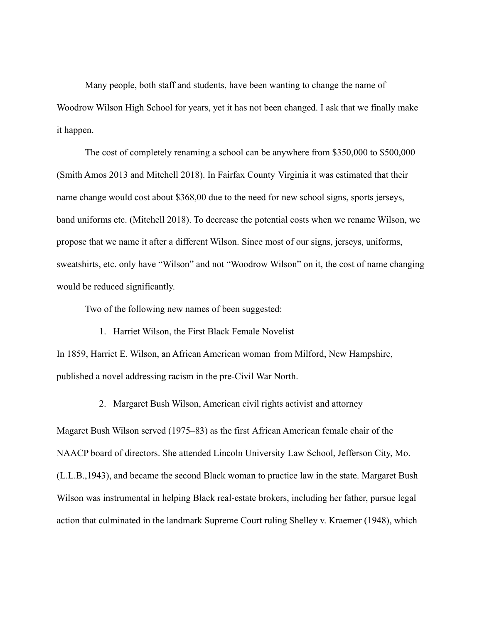Many people, both staff and students, have been wanting to change the name of Woodrow Wilson High School for years, yet it has not been changed. I ask that we finally make it happen.

The cost of completely renaming a school can be anywhere from \$350,000 to \$500,000 (Smith Amos 2013 and Mitchell 2018). In Fairfax County Virginia it was estimated that their name change would cost about \$368,00 due to the need for new school signs, sports jerseys, band uniforms etc. (Mitchell 2018). To decrease the potential costs when we rename Wilson, we propose that we name it after a different Wilson. Since most of our signs, jerseys, uniforms, sweatshirts, etc. only have "Wilson" and not "Woodrow Wilson" on it, the cost of name changing would be reduced significantly.

Two of the following new names of been suggested:

1. Harriet Wilson, the First Black Female Novelist

In 1859, Harriet E. Wilson, an African American woman from Milford, New Hampshire, published a novel addressing racism in the pre-Civil War North.

2. Margaret Bush Wilson, American civil rights activist and attorney

Magaret Bush Wilson served (1975–83) as the first African American female chair of the NAACP board of directors. She attended Lincoln University Law School, Jefferson City, Mo. (L.L.B.,1943), and became the second Black woman to practice law in the state. Margaret Bush Wilson was instrumental in helping Black real-estate brokers, including her father, pursue legal action that culminated in the landmark Supreme Court ruling Shelley v. Kraemer (1948), which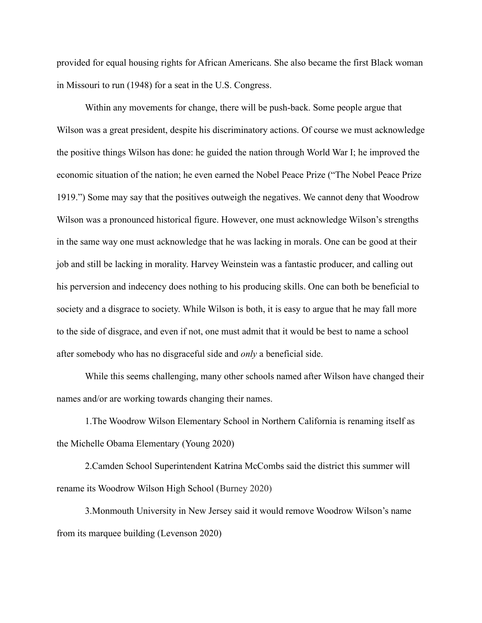provided for equal housing rights for African Americans. She also became the first Black woman in Missouri to run (1948) for a seat in the U.S. Congress.

Within any movements for change, there will be push-back. Some people argue that Wilson was a great president, despite his discriminatory actions. Of course we must acknowledge the positive things Wilson has done: he guided the nation through World War I; he improved the economic situation of the nation; he even earned the Nobel Peace Prize ("The Nobel Peace Prize 1919.") Some may say that the positives outweigh the negatives. We cannot deny that Woodrow Wilson was a pronounced historical figure. However, one must acknowledge Wilson's strengths in the same way one must acknowledge that he was lacking in morals. One can be good at their job and still be lacking in morality. Harvey Weinstein was a fantastic producer, and calling out his perversion and indecency does nothing to his producing skills. One can both be beneficial to society and a disgrace to society. While Wilson is both, it is easy to argue that he may fall more to the side of disgrace, and even if not, one must admit that it would be best to name a school after somebody who has no disgraceful side and *only* a beneficial side.

While this seems challenging, many other schools named after Wilson have changed their names and/or are working towards changing their names.

1.The Woodrow Wilson Elementary School in Northern California is renaming itself as the Michelle Obama Elementary (Young 2020)

2.Camden School Superintendent Katrina McCombs said the district this summer will rename its Woodrow Wilson High School (Burney 2020)

3.Monmouth University in New Jersey said it would remove Woodrow Wilson's name from its marquee building (Levenson 2020)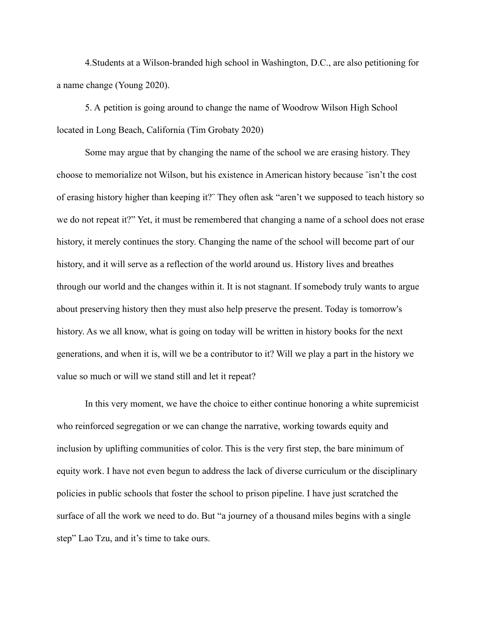4.Students at a Wilson-branded high school in Washington, D.C., are also petitioning for a name change (Young 2020).

5. A [petition](https://www.change.org/p/lbusd-woodrow-wilson-was-a-racist-let-s-find-a-better-person-to-name-a-long-beach-school-after-c0a99785-6a8b-421e-ab7c-5be9a0ab8f61) is going around to change the name of Woodrow Wilson High School located in Long Beach, California ([Tim Grobaty](https://lbpost.com/news/author/tim-grobaty/) 2020)

Some may argue that by changing the name of the school we are erasing history. They choose to memorialize not Wilson, but his existence in American history because ¨isn't the cost of erasing history higher than keeping it?¨ They often ask "aren't we supposed to teach history so we do not repeat it?" Yet, it must be remembered that changing a name of a school does not erase history, it merely continues the story. Changing the name of the school will become part of our history, and it will serve as a reflection of the world around us. History lives and breathes through our world and the changes within it. It is not stagnant. If somebody truly wants to argue about preserving history then they must also help preserve the present. Today is tomorrow's history. As we all know, what is going on today will be written in history books for the next generations, and when it is, will we be a contributor to it? Will we play a part in the history we value so much or will we stand still and let it repeat?

In this very moment, we have the choice to either continue honoring a white supremicist who reinforced segregation or we can change the narrative, working towards equity and inclusion by uplifting communities of color. This is the very first step, the bare minimum of equity work. I have not even begun to address the lack of diverse curriculum or the disciplinary policies in public schools that foster the school to prison pipeline. I have just scratched the surface of all the work we need to do. But "a journey of a thousand miles begins with a single step" Lao Tzu, and it's time to take ours.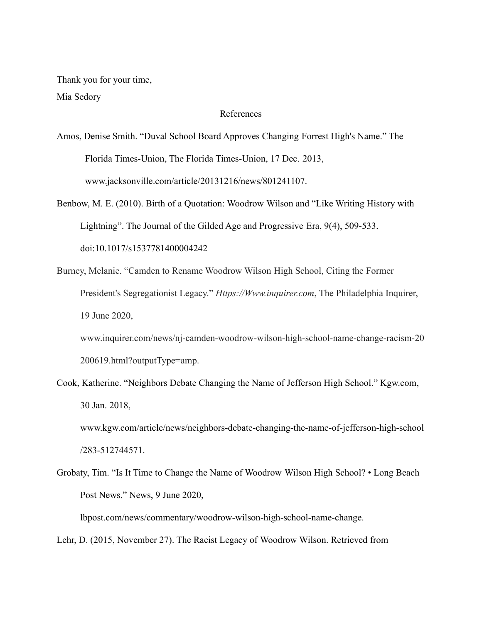Thank you for your time, Mia Sedory

## References

Amos, Denise Smith. "Duval School Board Approves Changing Forrest High's Name." The Florida Times-Union, The Florida Times-Union, 17 Dec. 2013, www.jacksonville.com/article/20131216/news/801241107.

Benbow, M. E. (2010). Birth of a Quotation: Woodrow Wilson and "Like Writing History with Lightning". The Journal of the Gilded Age and Progressive Era, 9(4), 509-533. doi:10.1017/s1537781400004242

Burney, Melanie. "Camden to Rename Woodrow Wilson High School, Citing the Former President's Segregationist Legacy." *Https://Www.inquirer.com*, The Philadelphia Inquirer, 19 June 2020,

www.inquirer.com/news/nj-camden-woodrow-wilson-high-school-name-change-racism-20 200619.html?outputType=amp.

Cook, Katherine. "Neighbors Debate Changing the Name of Jefferson High School." Kgw.com, 30 Jan. 2018,

[www.kgw.com/article/news/neighbors-debate-changing-the-name-of-jefferson-high-school](http://www.kgw.com/article/news/neighbors-debate-changing-the-name-of-jefferson-high-school/283-512744571) [/283-512744571](http://www.kgw.com/article/news/neighbors-debate-changing-the-name-of-jefferson-high-school/283-512744571).

Grobaty, Tim. "Is It Time to Change the Name of Woodrow Wilson High School? • Long Beach Post News." News, 9 June 2020,

lbpost.com/news/commentary/woodrow-wilson-high-school-name-change.

Lehr, D. (2015, November 27). The Racist Legacy of Woodrow Wilson. Retrieved from